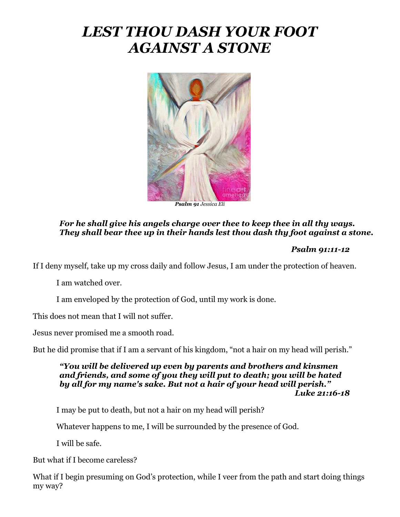# *LEST THOU DASH YOUR FOOT AGAINST A STONE*



*Psalm 91 Jessica Eli*

### *For he shall give his angels charge over thee to keep thee in all thy ways. They shall bear thee up in their hands lest thou dash thy foot against a stone.*

#### *Psalm 91:11-12*

If I deny myself, take up my cross daily and follow Jesus, I am under the protection of heaven.

I am watched over.

I am enveloped by the protection of God, until my work is done.

This does not mean that I will not suffer.

Jesus never promised me a smooth road.

But he did promise that if I am a servant of his kingdom, "not a hair on my head will perish."

#### *"You will be delivered up even by parents and brothers and kinsmen and friends, and some of you they will put to death; you will be hated by all for my name's sake. But not a hair of your head will perish." Luke 21:16-18*

I may be put to death, but not a hair on my head will perish?

Whatever happens to me, I will be surrounded by the presence of God.

I will be safe.

But what if I become careless?

What if I begin presuming on God's protection, while I veer from the path and start doing things my way?